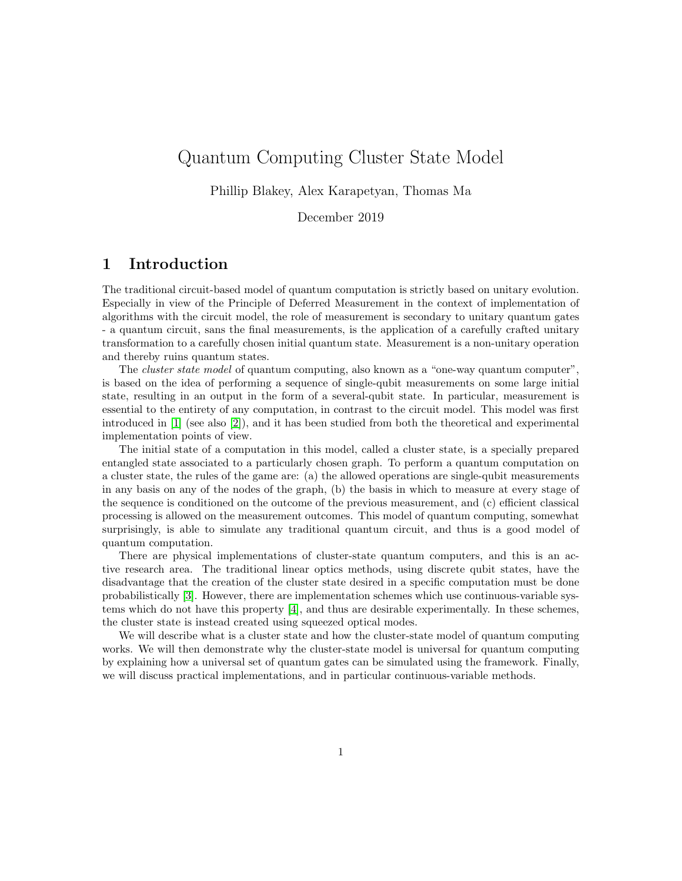# Quantum Computing Cluster State Model

Phillip Blakey, Alex Karapetyan, Thomas Ma

December 2019

## 1 Introduction

The traditional circuit-based model of quantum computation is strictly based on unitary evolution. Especially in view of the Principle of Deferred Measurement in the context of implementation of algorithms with the circuit model, the role of measurement is secondary to unitary quantum gates - a quantum circuit, sans the final measurements, is the application of a carefully crafted unitary transformation to a carefully chosen initial quantum state. Measurement is a non-unitary operation and thereby ruins quantum states.

The *cluster state model* of quantum computing, also known as a "one-way quantum computer" is based on the idea of performing a sequence of single-qubit measurements on some large initial state, resulting in an output in the form of a several-qubit state. In particular, measurement is essential to the entirety of any computation, in contrast to the circuit model. This model was first introduced in [\[1\]](#page-14-0) (see also [\[2\]](#page-14-1)), and it has been studied from both the theoretical and experimental implementation points of view.

The initial state of a computation in this model, called a cluster state, is a specially prepared entangled state associated to a particularly chosen graph. To perform a quantum computation on a cluster state, the rules of the game are: (a) the allowed operations are single-qubit measurements in any basis on any of the nodes of the graph, (b) the basis in which to measure at every stage of the sequence is conditioned on the outcome of the previous measurement, and (c) efficient classical processing is allowed on the measurement outcomes. This model of quantum computing, somewhat surprisingly, is able to simulate any traditional quantum circuit, and thus is a good model of quantum computation.

There are physical implementations of cluster-state quantum computers, and this is an active research area. The traditional linear optics methods, using discrete qubit states, have the disadvantage that the creation of the cluster state desired in a specific computation must be done probabilistically [\[3\]](#page-14-2). However, there are implementation schemes which use continuous-variable systems which do not have this property [\[4\]](#page-14-3), and thus are desirable experimentally. In these schemes, the cluster state is instead created using squeezed optical modes.

We will describe what is a cluster state and how the cluster-state model of quantum computing works. We will then demonstrate why the cluster-state model is universal for quantum computing by explaining how a universal set of quantum gates can be simulated using the framework. Finally, we will discuss practical implementations, and in particular continuous-variable methods.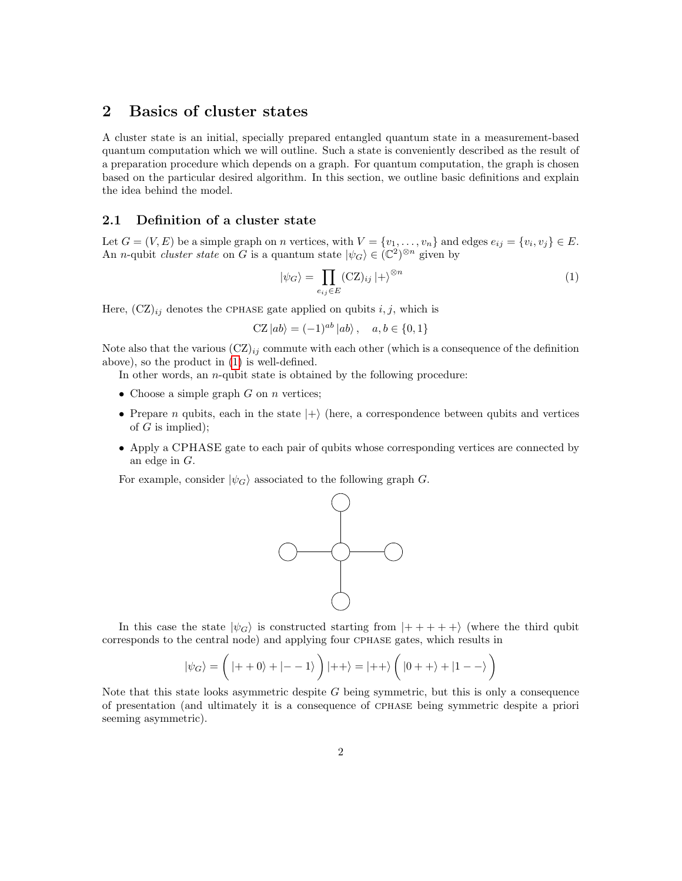## 2 Basics of cluster states

A cluster state is an initial, specially prepared entangled quantum state in a measurement-based quantum computation which we will outline. Such a state is conveniently described as the result of a preparation procedure which depends on a graph. For quantum computation, the graph is chosen based on the particular desired algorithm. In this section, we outline basic definitions and explain the idea behind the model.

#### 2.1 Definition of a cluster state

Let  $G = (V, E)$  be a simple graph on n vertices, with  $V = \{v_1, \ldots, v_n\}$  and edges  $e_{ij} = \{v_i, v_j\} \in E$ . An *n*-qubit *cluster state* on G is a quantum state  $|\psi_G\rangle \in (\mathbb{C}^2)^{\otimes n}$  given by

<span id="page-1-0"></span>
$$
|\psi_G\rangle = \prod_{e_{ij}\in E} (\text{CZ})_{ij} |+\rangle^{\otimes n} \tag{1}
$$

Here,  $(CZ)_{ij}$  denotes the CPHASE gate applied on qubits  $i, j$ , which is

$$
CZ |ab\rangle = (-1)^{ab} |ab\rangle, \quad a, b \in \{0, 1\}
$$

Note also that the various  $(CZ)_{ij}$  commute with each other (which is a consequence of the definition above), so the product in [\(1\)](#page-1-0) is well-defined.

In other words, an *n*-qubit state is obtained by the following procedure:

- Choose a simple graph  $G$  on  $n$  vertices;
- Prepare n qubits, each in the state  $|+\rangle$  (here, a correspondence between qubits and vertices of  $G$  is implied);
- Apply a CPHASE gate to each pair of qubits whose corresponding vertices are connected by an edge in G.

For example, consider  $|\psi_G\rangle$  associated to the following graph G.



In this case the state  $|\psi_G\rangle$  is constructed starting from  $|+++++\rangle$  (where the third qubit corresponds to the central node) and applying four cphase gates, which results in

$$
\left|\psi_G\right\rangle = \bigg(\left|++0\right\rangle + \left|--1\right\rangle\bigg)\left|++\right\rangle = \left|++\right\rangle \bigg(\left|0++\right\rangle + \left|1--\right\rangle\bigg)
$$

Note that this state looks asymmetric despite  $G$  being symmetric, but this is only a consequence of presentation (and ultimately it is a consequence of cphase being symmetric despite a priori seeming asymmetric).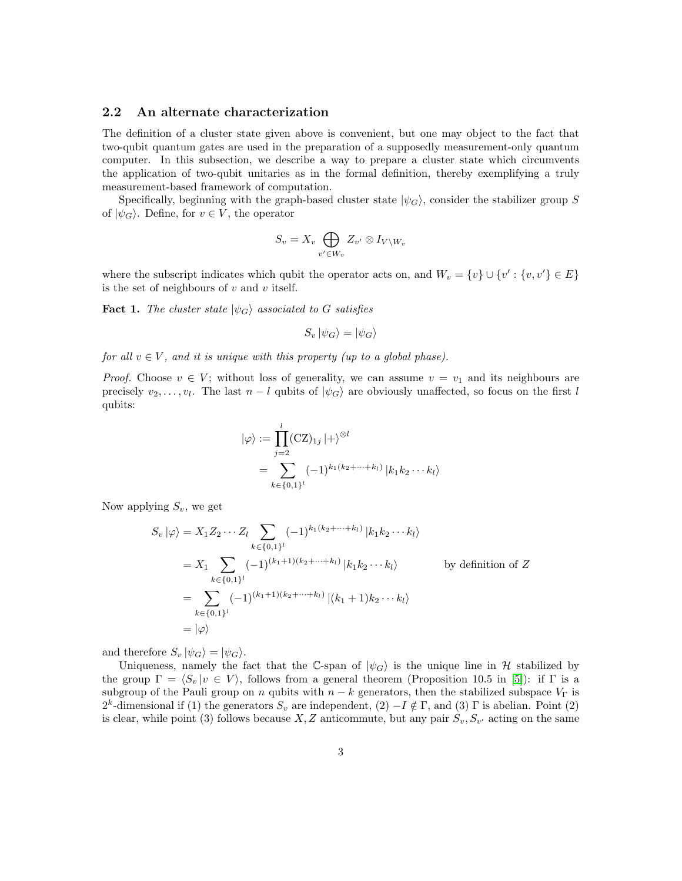#### 2.2 An alternate characterization

The definition of a cluster state given above is convenient, but one may object to the fact that two-qubit quantum gates are used in the preparation of a supposedly measurement-only quantum computer. In this subsection, we describe a way to prepare a cluster state which circumvents the application of two-qubit unitaries as in the formal definition, thereby exemplifying a truly measurement-based framework of computation.

Specifically, beginning with the graph-based cluster state  $|\psi_G\rangle$ , consider the stabilizer group S of  $|\psi_G\rangle$ . Define, for  $v \in V$ , the operator

$$
S_v = X_v \bigoplus_{v' \in W_v} Z_{v'} \otimes I_{V \setminus W_v}
$$

where the subscript indicates which qubit the operator acts on, and  $W_v = \{v\} \cup \{v' : \{v, v'\} \in E\}$ is the set of neighbours of  $v$  and  $v$  itself.

<span id="page-2-0"></span>**Fact 1.** The cluster state  $|\psi_G\rangle$  associated to G satisfies

$$
S_v |\psi_G\rangle = |\psi_G\rangle
$$

for all  $v \in V$ , and it is unique with this property (up to a global phase).

*Proof.* Choose  $v \in V$ ; without loss of generality, we can assume  $v = v_1$  and its neighbours are precisely  $v_2, \ldots, v_l$ . The last  $n - l$  qubits of  $|\psi_G\rangle$  are obviously unaffected, so focus on the first l qubits:

$$
|\varphi\rangle := \prod_{j=2}^{l} (CZ)_{1j} |+\rangle^{\otimes l}
$$
  
= 
$$
\sum_{k \in \{0,1\}^l} (-1)^{k_1(k_2 + \dots + k_l)} |k_1 k_2 \dots k_l\rangle
$$

Now applying  $S_v$ , we get

$$
S_v |\varphi\rangle = X_1 Z_2 \cdots Z_l \sum_{k \in \{0,1\}^l} (-1)^{k_1(k_2 + \cdots + k_l)} |k_1 k_2 \cdots k_l\rangle
$$
  
=  $X_1 \sum_{k \in \{0,1\}^l} (-1)^{(k_1+1)(k_2 + \cdots + k_l)} |k_1 k_2 \cdots k_l\rangle$  by definition of  $Z$   
=  $\sum_{k \in \{0,1\}^l} (-1)^{(k_1+1)(k_2 + \cdots + k_l)} |(k_1 + 1)k_2 \cdots k_l\rangle$   
=  $|\varphi\rangle$ 

and therefore  $S_v |\psi_G\rangle = |\psi_G\rangle$ .

Uniqueness, namely the fact that the C-span of  $|\psi_G\rangle$  is the unique line in H stabilized by the group  $\Gamma = \langle S_v |v \in V \rangle$ , follows from a general theorem (Proposition 10.5 in [\[5\]](#page-14-4)): if  $\Gamma$  is a subgroup of the Pauli group on n qubits with  $n - k$  generators, then the stabilized subspace  $V_{\Gamma}$  is 2<sup>k</sup>-dimensional if (1) the generators  $S_v$  are independent, (2)  $-I \notin \Gamma$ , and (3)  $\Gamma$  is abelian. Point (2) is clear, while point (3) follows because  $X, Z$  anticommute, but any pair  $S_v, S_{v'}$  acting on the same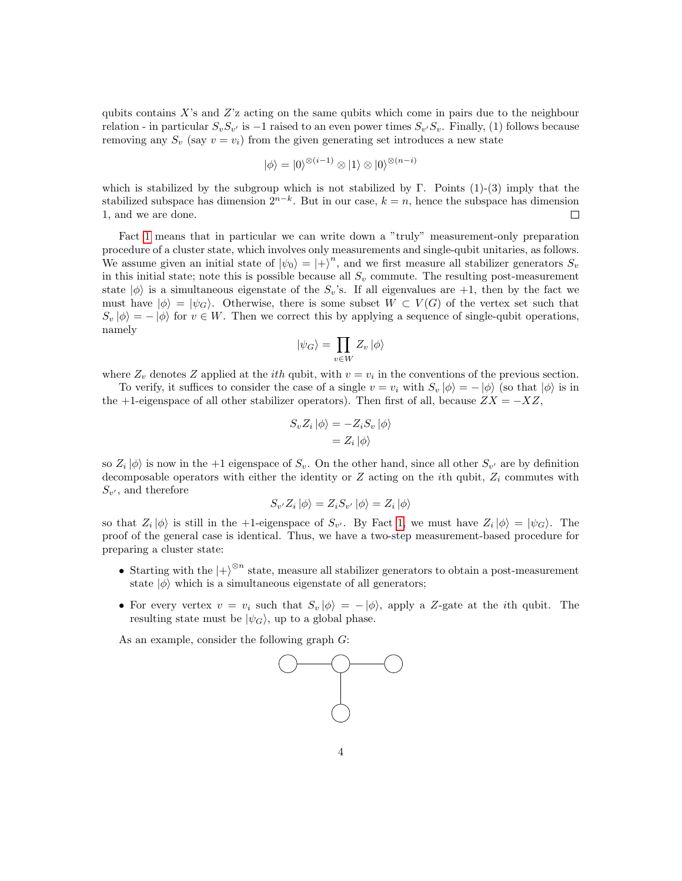qubits contains  $X$ 's and  $Z$ 'z acting on the same qubits which come in pairs due to the neighbour relation - in particular  $S_v S_{v'}$  is  $-1$  raised to an even power times  $S_{v'} S_v$ . Finally, (1) follows because removing any  $S_v$  (say  $v = v_i$ ) from the given generating set introduces a new state

$$
|\phi\rangle=|0\rangle^{\otimes (i-1)}\otimes|1\rangle\otimes|0\rangle^{\otimes (n-i)}
$$

which is stabilized by the subgroup which is not stabilized by  $\Gamma$ . Points  $(1)-(3)$  imply that the stabilized subspace has dimension  $2^{n-k}$ . But in our case,  $k = n$ , hence the subspace has dimension 1, and we are done.  $\Box$ 

Fact [1](#page-2-0) means that in particular we can write down a "truly" measurement-only preparation procedure of a cluster state, which involves only measurements and single-qubit unitaries, as follows. We assume given an initial state of  $|\psi_0\rangle = |+\rangle^n$ , and we first measure all stabilizer generators  $S_v$ in this initial state; note this is possible because all  $S_v$  commute. The resulting post-measurement state  $|\phi\rangle$  is a simultaneous eigenstate of the  $S_v$ 's. If all eigenvalues are +1, then by the fact we must have  $|\phi\rangle = |\psi_G\rangle$ . Otherwise, there is some subset  $W \subset V(G)$  of the vertex set such that  $S_v |\phi\rangle = - |\phi\rangle$  for  $v \in W$ . Then we correct this by applying a sequence of single-qubit operations, namely

$$
|\psi_G\rangle = \prod_{v \in W} Z_v | \phi \rangle
$$

where  $Z_v$  denotes Z applied at the *ith* qubit, with  $v = v_i$  in the conventions of the previous section.

To verify, it suffices to consider the case of a single  $v = v_i$  with  $S_v |\phi\rangle = -|\phi\rangle$  (so that  $|\phi\rangle$  is in the +1-eigenspace of all other stabilizer operators). Then first of all, because  $ZX = -XZ$ ,

$$
S_v Z_i |\phi\rangle = -Z_i S_v |\phi\rangle
$$
  
= 
$$
Z_i |\phi\rangle
$$

so  $Z_i |\phi\rangle$  is now in the +1 eigenspace of  $S_v$ . On the other hand, since all other  $S_{v'}$  are by definition decomposable operators with either the identity or  $Z$  acting on the *i*th qubit,  $Z_i$  commutes with  $S_{v'}$ , and therefore

$$
S_{v'}Z_i |\phi\rangle = Z_i S_{v'} |\phi\rangle = Z_i |\phi\rangle
$$

so that  $Z_i |\phi\rangle$  is still in the +1-eigenspace of  $S_{v'}$ . By Fact [1,](#page-2-0) we must have  $Z_i |\phi\rangle = |\psi_G\rangle$ . The proof of the general case is identical. Thus, we have a two-step measurement-based procedure for preparing a cluster state:

- Starting with the  $\ket{+}^{\otimes n}$  state, measure all stabilizer generators to obtain a post-measurement state  $|\phi\rangle$  which is a simultaneous eigenstate of all generators;
- For every vertex  $v = v_i$  such that  $S_v |\phi\rangle = -|\phi\rangle$ , apply a Z-gate at the *i*th qubit. The resulting state must be  $|\psi_G\rangle$ , up to a global phase.

As an example, consider the following graph G:

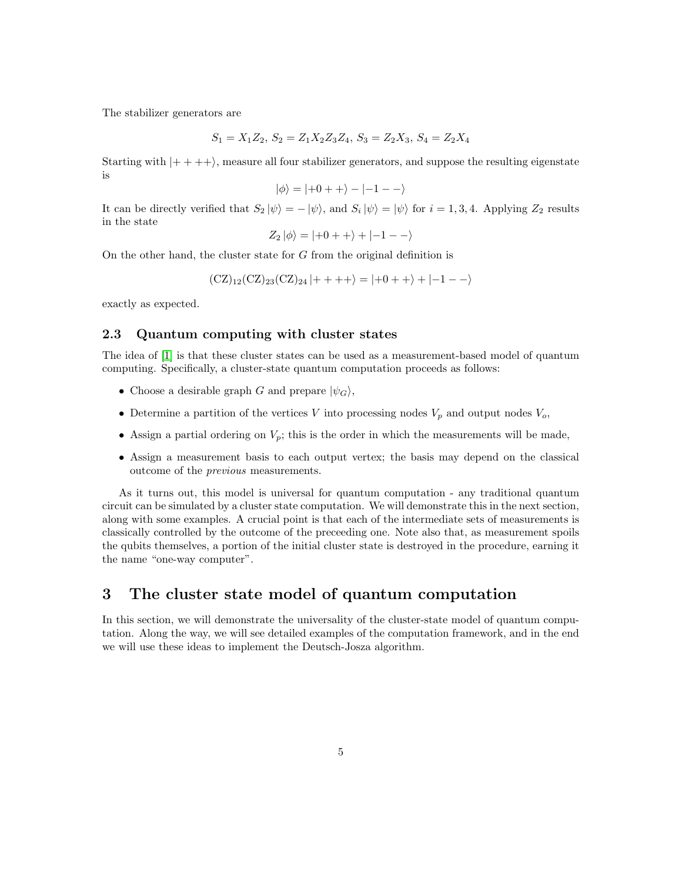The stabilizer generators are

$$
S_1 = X_1 Z_2, S_2 = Z_1 X_2 Z_3 Z_4, S_3 = Z_2 X_3, S_4 = Z_2 X_4
$$

Starting with  $|+++\rangle$ , measure all four stabilizer generators, and suppose the resulting eigenstate is

$$
|\phi\rangle = |+0++\rangle - |-1--\rangle
$$

It can be directly verified that  $S_2 |\psi\rangle = - |\psi\rangle$ , and  $S_i |\psi\rangle = |\psi\rangle$  for  $i = 1, 3, 4$ . Applying  $Z_2$  results in the state

$$
Z_2 |\phi\rangle = |+0++\rangle + |-1--\rangle
$$

On the other hand, the cluster state for G from the original definition is

$$
(CZ)_{12}(CZ)_{23}(CZ)_{24}|++++\rangle = |+0++\rangle + |-1--\rangle
$$

exactly as expected.

#### 2.3 Quantum computing with cluster states

The idea of [\[1\]](#page-14-0) is that these cluster states can be used as a measurement-based model of quantum computing. Specifically, a cluster-state quantum computation proceeds as follows:

- Choose a desirable graph G and prepare  $|\psi_G\rangle$ ,
- Determine a partition of the vertices V into processing nodes  $V_p$  and output nodes  $V_o$ ,
- Assign a partial ordering on  $V_p$ ; this is the order in which the measurements will be made,
- Assign a measurement basis to each output vertex; the basis may depend on the classical outcome of the previous measurements.

As it turns out, this model is universal for quantum computation - any traditional quantum circuit can be simulated by a cluster state computation. We will demonstrate this in the next section, along with some examples. A crucial point is that each of the intermediate sets of measurements is classically controlled by the outcome of the preceeding one. Note also that, as measurement spoils the qubits themselves, a portion of the initial cluster state is destroyed in the procedure, earning it the name "one-way computer".

## 3 The cluster state model of quantum computation

In this section, we will demonstrate the universality of the cluster-state model of quantum computation. Along the way, we will see detailed examples of the computation framework, and in the end we will use these ideas to implement the Deutsch-Josza algorithm.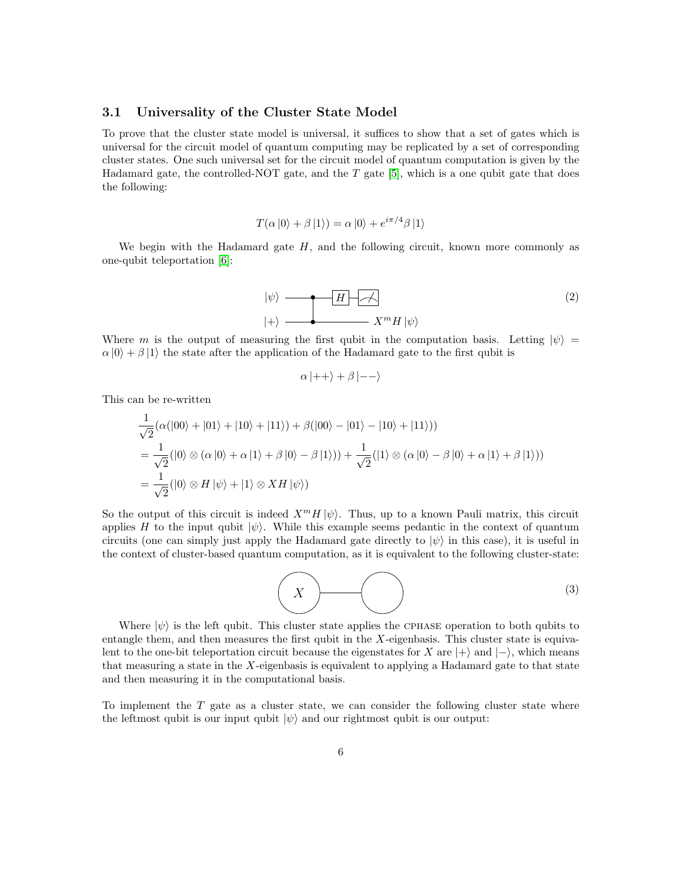#### 3.1 Universality of the Cluster State Model

To prove that the cluster state model is universal, it suffices to show that a set of gates which is universal for the circuit model of quantum computing may be replicated by a set of corresponding cluster states. One such universal set for the circuit model of quantum computation is given by the Hadamard gate, the controlled-NOT gate, and the  $T$  gate [\[5\]](#page-14-4), which is a one qubit gate that does the following:

$$
T(\alpha |0\rangle + \beta |1\rangle) = \alpha |0\rangle + e^{i\pi/4}\beta |1\rangle
$$

We begin with the Hadamard gate  $H$ , and the following circuit, known more commonly as one-qubit teleportation [\[6\]](#page-14-5):

$$
|\psi\rangle \longrightarrow H \longrightarrow
$$
  

$$
|+\rangle \longrightarrow X^{m} H |\psi\rangle
$$
  
(2)

Where m is the output of measuring the first qubit in the computation basis. Letting  $|\psi\rangle$  =  $\alpha$  |0} +  $\beta$  |1} the state after the application of the Hadamard gate to the first qubit is

<span id="page-5-0"></span>
$$
\alpha \ket{++} + \beta \ket{--}
$$

This can be re-written

$$
\frac{1}{\sqrt{2}}(\alpha(|00\rangle+|01\rangle+|10\rangle+|11\rangle)+\beta(|00\rangle-|01\rangle-|10\rangle+|11\rangle))
$$
\n
$$
=\frac{1}{\sqrt{2}}(|0\rangle\otimes(\alpha|0\rangle+\alpha|1\rangle+\beta|0\rangle-\beta|1\rangle))+\frac{1}{\sqrt{2}}(|1\rangle\otimes(\alpha|0\rangle-\beta|0\rangle+\alpha|1\rangle+\beta|1\rangle))
$$
\n
$$
=\frac{1}{\sqrt{2}}(|0\rangle\otimes H|\psi\rangle+|1\rangle\otimes XH|\psi\rangle)
$$

So the output of this circuit is indeed  $X^m H |\psi\rangle$ . Thus, up to a known Pauli matrix, this circuit applies H to the input qubit  $|\psi\rangle$ . While this example seems pedantic in the context of quantum circuits (one can simply just apply the Hadamard gate directly to  $|\psi\rangle$  in this case), it is useful in the context of cluster-based quantum computation, as it is equivalent to the following cluster-state:

$$
(3)
$$

Where  $|\psi\rangle$  is the left qubit. This cluster state applies the CPHASE operation to both qubits to entangle them, and then measures the first qubit in the  $X$ -eigenbasis. This cluster state is equivalent to the one-bit teleportation circuit because the eigenstates for X are  $|+\rangle$  and  $|-\rangle$ , which means that measuring a state in the  $X$ -eigenbasis is equivalent to applying a Hadamard gate to that state and then measuring it in the computational basis.

To implement the  $T$  gate as a cluster state, we can consider the following cluster state where the leftmost qubit is our input qubit  $|\psi\rangle$  and our rightmost qubit is our output: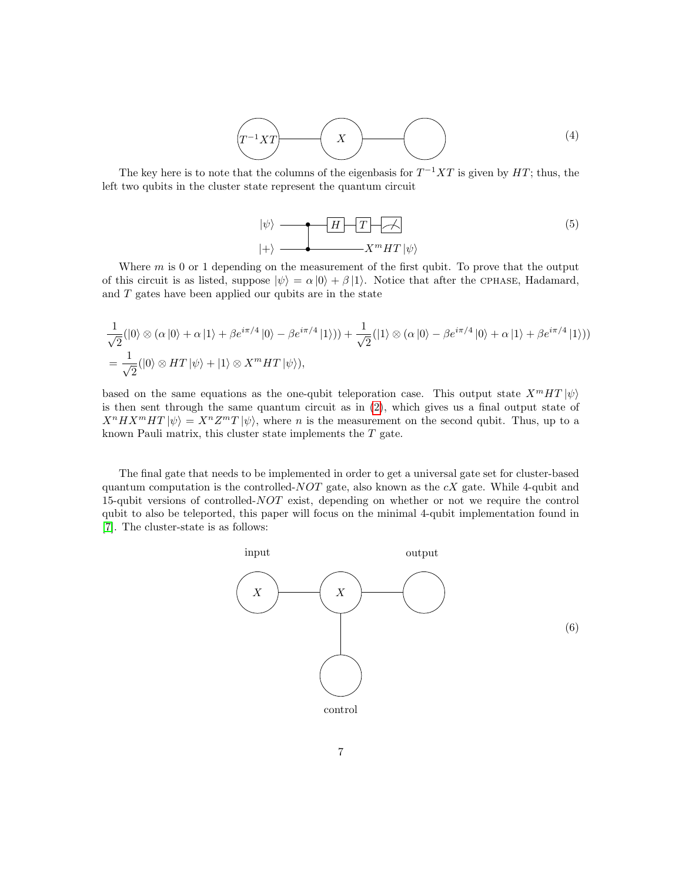$$
\boxed{T^{-1}XT}
$$
 (4)

The key here is to note that the columns of the eigenbasis for  $T^{-1}XT$  is given by  $HT$ ; thus, the left two qubits in the cluster state represent the quantum circuit

$$
|\psi\rangle \longrightarrow H \longrightarrow T \longrightarrow
$$
\n
$$
|+\rangle \longrightarrow X^{m}HT |\psi\rangle
$$
\n(5)

Where  $m$  is 0 or 1 depending on the measurement of the first qubit. To prove that the output of this circuit is as listed, suppose  $|\psi\rangle = \alpha |0\rangle + \beta |1\rangle$ . Notice that after the CPHASE, Hadamard, and  $T$  gates have been applied our qubits are in the state

$$
\frac{1}{\sqrt{2}}(|0\rangle \otimes \alpha|0\rangle + \alpha|1\rangle + \beta e^{i\pi/4}|0\rangle - \beta e^{i\pi/4}|1\rangle)) + \frac{1}{\sqrt{2}}(|1\rangle \otimes \alpha|0\rangle - \beta e^{i\pi/4}|0\rangle + \alpha|1\rangle + \beta e^{i\pi/4}|1\rangle))
$$
\n
$$
= \frac{1}{\sqrt{2}}(|0\rangle \otimes HT|\psi\rangle + |1\rangle \otimes X^m HT|\psi\rangle),
$$

based on the same equations as the one-qubit teleporation case. This output state  $X^mHT|\psi\rangle$ is then sent through the same quantum circuit as in [\(2\)](#page-5-0), which gives us a final output state of  $X^n H X^m H T |\psi\rangle = X^n Z^m T |\psi\rangle$ , where *n* is the measurement on the second qubit. Thus, up to a known Pauli matrix, this cluster state implements the  $T$  gate.

The final gate that needs to be implemented in order to get a universal gate set for cluster-based quantum computation is the controlled- $NOT$  gate, also known as the  $cX$  gate. While 4-qubit and 15-qubit versions of controlled-NOT exist, depending on whether or not we require the control qubit to also be teleported, this paper will focus on the minimal 4-qubit implementation found in [\[7\]](#page-14-6). The cluster-state is as follows:

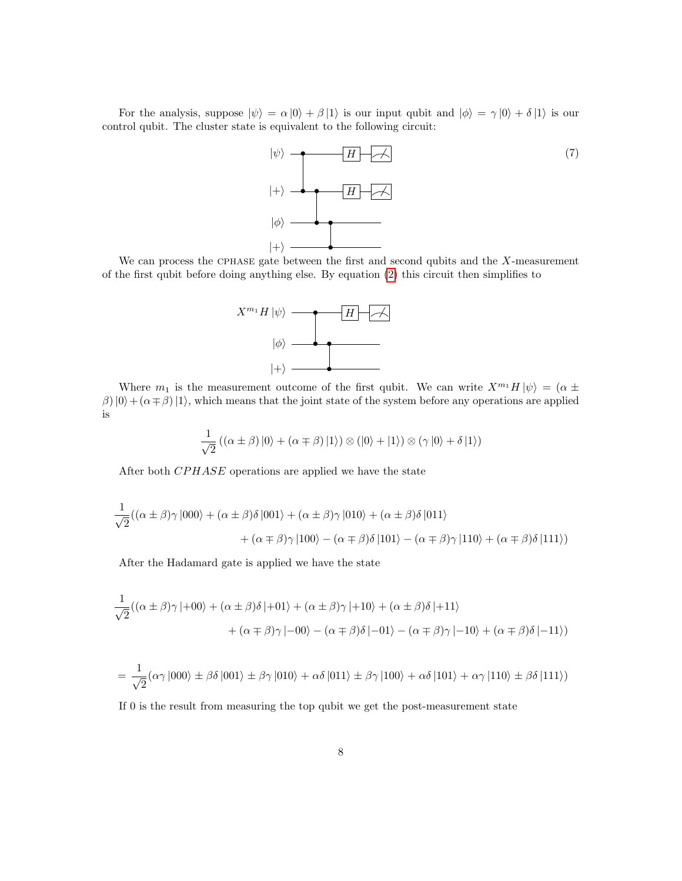For the analysis, suppose  $|\psi\rangle = \alpha |0\rangle + \beta |1\rangle$  is our input qubit and  $|\phi\rangle = \gamma |0\rangle + \delta |1\rangle$  is our control qubit. The cluster state is equivalent to the following circuit:



We can process the CPHASE gate between the first and second qubits and the  $X$ -measurement of the first qubit before doing anything else. By equation [\(2\)](#page-5-0) this circuit then simplifies to



Where  $m_1$  is the measurement outcome of the first qubit. We can write  $X^{m_1}H|\psi\rangle = (\alpha \pm \sqrt{\frac{m_1 m_2}{n_1}})$  $\beta$ )  $|0\rangle + (\alpha \mp \beta) |1\rangle$ , which means that the joint state of the system before any operations are applied is

$$
\frac{1}{\sqrt{2}}((\alpha \pm \beta) |0\rangle + (\alpha \mp \beta) |1\rangle) \otimes (|0\rangle + |1\rangle) \otimes (\gamma |0\rangle + \delta |1\rangle)
$$

After both CPHASE operations are applied we have the state

$$
\frac{1}{\sqrt{2}}((\alpha \pm \beta)\gamma |000\rangle + (\alpha \pm \beta)\delta |001\rangle + (\alpha \pm \beta)\gamma |010\rangle + (\alpha \pm \beta)\delta |011\rangle
$$

$$
+ (\alpha \mp \beta)\gamma |100\rangle - (\alpha \mp \beta)\delta |101\rangle - (\alpha \mp \beta)\gamma |110\rangle + (\alpha \mp \beta)\delta |111\rangle)
$$

After the Hadamard gate is applied we have the state

$$
\frac{1}{\sqrt{2}}((\alpha \pm \beta)\gamma \mid +00\rangle + (\alpha \pm \beta)\delta \mid +01\rangle + (\alpha \pm \beta)\gamma \mid +10\rangle + (\alpha \pm \beta)\delta \mid +11\rangle
$$

$$
+(\alpha \mp \beta)\gamma \mid -00\rangle - (\alpha \mp \beta)\delta \mid -01\rangle - (\alpha \mp \beta)\gamma \mid -10\rangle + (\alpha \mp \beta)\delta \mid -11\rangle)
$$

$$
= \frac{1}{\sqrt{2}} (\alpha \gamma |000\rangle \pm \beta \delta |001\rangle \pm \beta \gamma |010\rangle + \alpha \delta |011\rangle \pm \beta \gamma |100\rangle + \alpha \delta |101\rangle + \alpha \gamma |110\rangle \pm \beta \delta |111\rangle)
$$

If 0 is the result from measuring the top qubit we get the post-measurement state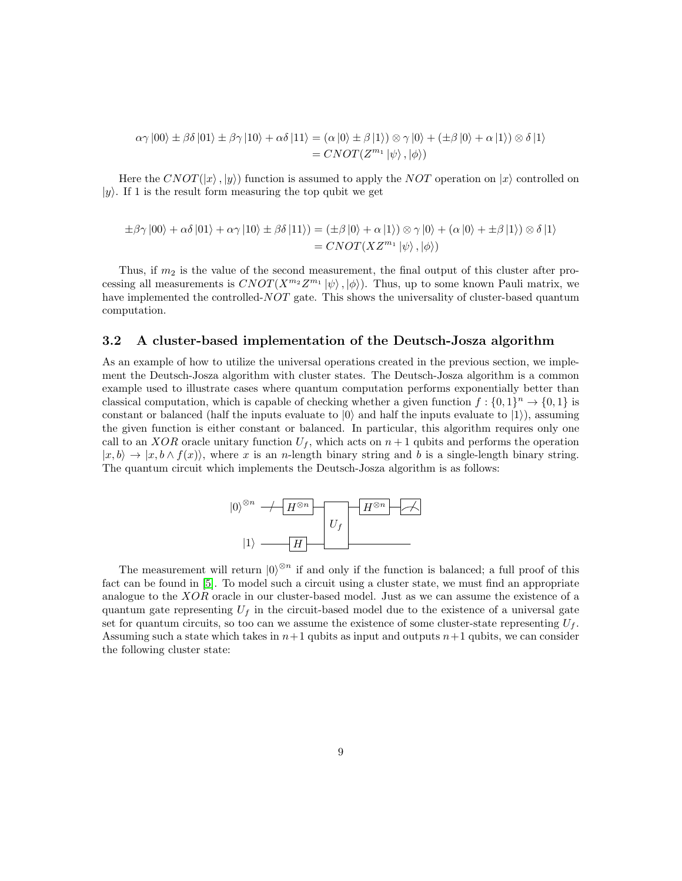$$
\alpha \gamma |00\rangle \pm \beta \delta |01\rangle \pm \beta \gamma |10\rangle + \alpha \delta |11\rangle = (\alpha |0\rangle \pm \beta |1\rangle) \otimes \gamma |0\rangle + (\pm \beta |0\rangle + \alpha |1\rangle) \otimes \delta |1\rangle
$$
  
=  $CNOT(Z^{m_1}|\psi\rangle,|\phi\rangle)$ 

Here the CNOT( $|x\rangle$ ,  $|y\rangle$ ) function is assumed to apply the NOT operation on  $|x\rangle$  controlled on  $|y\rangle$ . If 1 is the result form measuring the top qubit we get

$$
\pm \beta \gamma |00\rangle + \alpha \delta |01\rangle + \alpha \gamma |10\rangle \pm \beta \delta |11\rangle) = (\pm \beta |0\rangle + \alpha |1\rangle) \otimes \gamma |0\rangle + (\alpha |0\rangle + \pm \beta |1\rangle) \otimes \delta |1\rangle
$$
  
=  $CNOT(XZ^{m_1}|\psi\rangle,|\phi\rangle)$ 

Thus, if  $m_2$  is the value of the second measurement, the final output of this cluster after processing all measurements is  $CNOT(X^{m_2}Z^{m_1}|\psi\rangle,|\phi\rangle)$ . Thus, up to some known Pauli matrix, we have implemented the controlled-NOT gate. This shows the universality of cluster-based quantum computation.

#### 3.2 A cluster-based implementation of the Deutsch-Josza algorithm

As an example of how to utilize the universal operations created in the previous section, we implement the Deutsch-Josza algorithm with cluster states. The Deutsch-Josza algorithm is a common example used to illustrate cases where quantum computation performs exponentially better than classical computation, which is capable of checking whether a given function  $f: \{0,1\}^n \to \{0,1\}$  is constant or balanced (half the inputs evaluate to  $|0\rangle$  and half the inputs evaluate to  $|1\rangle$ ), assuming the given function is either constant or balanced. In particular, this algorithm requires only one call to an XOR oracle unitary function  $U_f$ , which acts on  $n+1$  qubits and performs the operation  $|x, b\rangle \rightarrow |x, b \wedge f(x)\rangle$ , where x is an n-length binary string and b is a single-length binary string. The quantum circuit which implements the Deutsch-Josza algorithm is as follows:



The measurement will return  $|0\rangle^{\otimes n}$  if and only if the function is balanced; a full proof of this fact can be found in [\[5\]](#page-14-4). To model such a circuit using a cluster state, we must find an appropriate analogue to the XOR oracle in our cluster-based model. Just as we can assume the existence of a quantum gate representing  $U_f$  in the circuit-based model due to the existence of a universal gate set for quantum circuits, so too can we assume the existence of some cluster-state representing  $U_f$ . Assuming such a state which takes in  $n+1$  qubits as input and outputs  $n+1$  qubits, we can consider the following cluster state: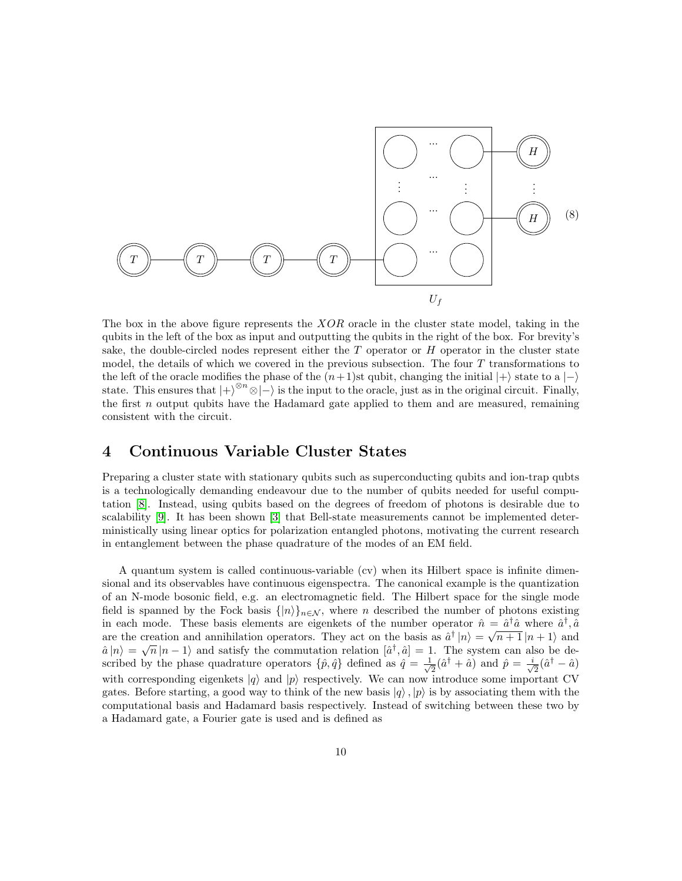

The box in the above figure represents the  $XOR$  oracle in the cluster state model, taking in the qubits in the left of the box as input and outputting the qubits in the right of the box. For brevity's sake, the double-circled nodes represent either the  $T$  operator or  $H$  operator in the cluster state model, the details of which we covered in the previous subsection. The four T transformations to the left of the oracle modifies the phase of the  $(n+1)$ st qubit, changing the initial  $|+\rangle$  state to a  $|-\rangle$ state. This ensures that  $|+\rangle^{\otimes n}\otimes|-\rangle$  is the input to the oracle, just as in the original circuit. Finally, the first  $n$  output qubits have the Hadamard gate applied to them and are measured, remaining consistent with the circuit.

### 4 Continuous Variable Cluster States

Preparing a cluster state with stationary qubits such as superconducting qubits and ion-trap qubts is a technologically demanding endeavour due to the number of qubits needed for useful computation [\[8\]](#page-14-7). Instead, using qubits based on the degrees of freedom of photons is desirable due to scalability [\[9\]](#page-14-8). It has been shown [\[3\]](#page-14-2) that Bell-state measurements cannot be implemented deterministically using linear optics for polarization entangled photons, motivating the current research in entanglement between the phase quadrature of the modes of an EM field.

A quantum system is called continuous-variable (cv) when its Hilbert space is infinite dimensional and its observables have continuous eigenspectra. The canonical example is the quantization of an N-mode bosonic field, e.g. an electromagnetic field. The Hilbert space for the single mode field is spanned by the Fock basis  $\{|n\rangle\}_{n\in\mathcal{N}}$ , where n described the number of photons existing in each mode. These basis elements are eigenkets of the number operator  $\hat{n} = \hat{a}^{\dagger} \hat{a}$  where  $\hat{a}^{\dagger}$ ,  $\hat{a}$ are the creation and annihilation operators. They act on the basis as  $\hat{a}^{\dagger} |n\rangle = \sqrt{n+1} |n+1\rangle$  and are the creation and annihilation operators. They act on the basis as  $a^+|n\rangle = \sqrt{n+1}|n+1\rangle$  and  $\hat{a}|n\rangle = \sqrt{n}|n-1\rangle$  and satisfy the commutation relation  $[\hat{a}^{\dagger}, \hat{a}] = 1$ . The system can also be described by the phase quadrature operators  $\{\hat{p}, \hat{q}\}\$  defined as  $\hat{q} = \frac{1}{\sqrt{2}}$  $\frac{1}{2}(\hat{a}^{\dagger} + \hat{a})$  and  $\hat{p} = \frac{i}{\sqrt{2}}$  $\overline{a}(\hat{a}^{\dagger} - \hat{a})$ with corresponding eigenkets  $|q\rangle$  and  $|p\rangle$  respectively. We can now introduce some important CV gates. Before starting, a good way to think of the new basis  $|q\rangle, |p\rangle$  is by associating them with the computational basis and Hadamard basis respectively. Instead of switching between these two by a Hadamard gate, a Fourier gate is used and is defined as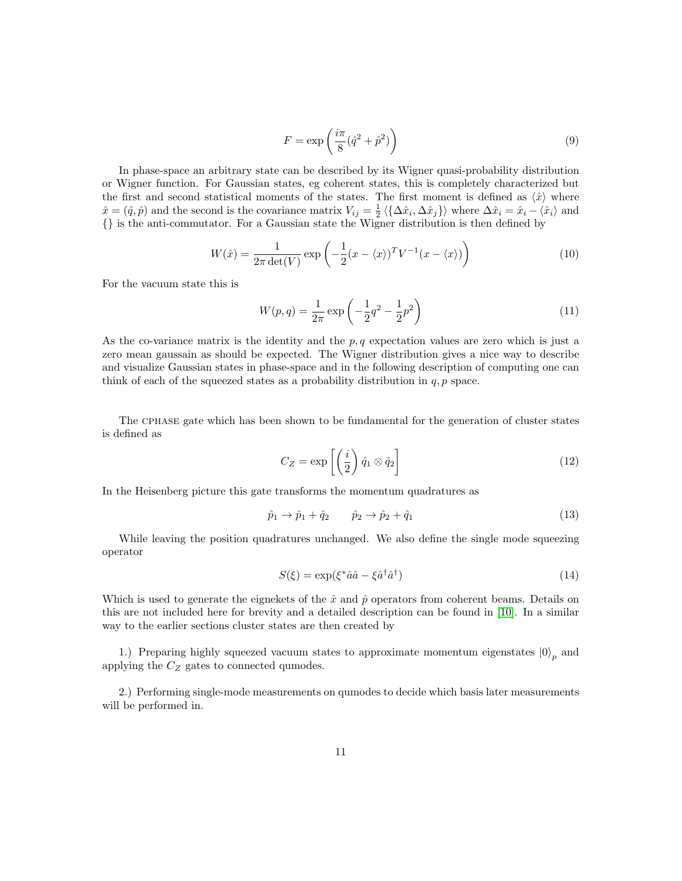$$
F = \exp\left(\frac{i\pi}{8}(\hat{q}^2 + \hat{p}^2)\right) \tag{9}
$$

In phase-space an arbitrary state can be described by its Wigner quasi-probability distribution or Wigner function. For Gaussian states, eg coherent states, this is completely characterized but the first and second statistical moments of the states. The first moment is defined as  $\langle \hat{x} \rangle$  where  $\hat{x} = (\hat{q}, \hat{p})$  and the second is the covariance matrix  $V_{ij} = \frac{1}{2} \langle \{ \Delta \hat{x}_i, \Delta \hat{x}_j \} \rangle$  where  $\Delta \hat{x}_i = \hat{x}_i - \langle \hat{x}_i \rangle$  and {} is the anti-commutator. For a Gaussian state the Wigner distribution is then defined by

$$
W(\hat{x}) = \frac{1}{2\pi \det(V)} \exp\left(-\frac{1}{2}(x - \langle x \rangle)^T V^{-1} (x - \langle x \rangle)\right)
$$
(10)

For the vacuum state this is

$$
W(p,q) = \frac{1}{2\pi} \exp\left(-\frac{1}{2}q^2 - \frac{1}{2}p^2\right)
$$
 (11)

As the co-variance matrix is the identity and the  $p, q$  expectation values are zero which is just a zero mean gaussain as should be expected. The Wigner distribution gives a nice way to describe and visualize Gaussian states in phase-space and in the following description of computing one can think of each of the squeezed states as a probability distribution in  $q, p$  space.

The cphase gate which has been shown to be fundamental for the generation of cluster states is defined as

<span id="page-10-0"></span>
$$
C_Z = \exp\left[\left(\frac{i}{2}\right)\hat{q}_1 \otimes \hat{q}_2\right]
$$
 (12)

In the Heisenberg picture this gate transforms the momentum quadratures as

$$
\hat{p}_1 \to \hat{p}_1 + \hat{q}_2 \qquad \hat{p}_2 \to \hat{p}_2 + \hat{q}_1 \tag{13}
$$

While leaving the position quadratures unchanged. We also define the single mode squeezing operator

$$
S(\xi) = \exp(\xi^* \hat{a}\hat{a} - \xi \hat{a}^\dagger \hat{a}^\dagger) \tag{14}
$$

Which is used to generate the eignekets of the  $\hat{x}$  and  $\hat{p}$  operators from coherent beams. Details on this are not included here for brevity and a detailed description can be found in [\[10\]](#page-14-9). In a similar way to the earlier sections cluster states are then created by

1.) Preparing highly squeezed vacuum states to approximate momentum eigenstates  $|0\rangle_p$  and applying the  $C_Z$  gates to connected qumodes.

2.) Performing single-mode measurements on qumodes to decide which basis later measurements will be performed in.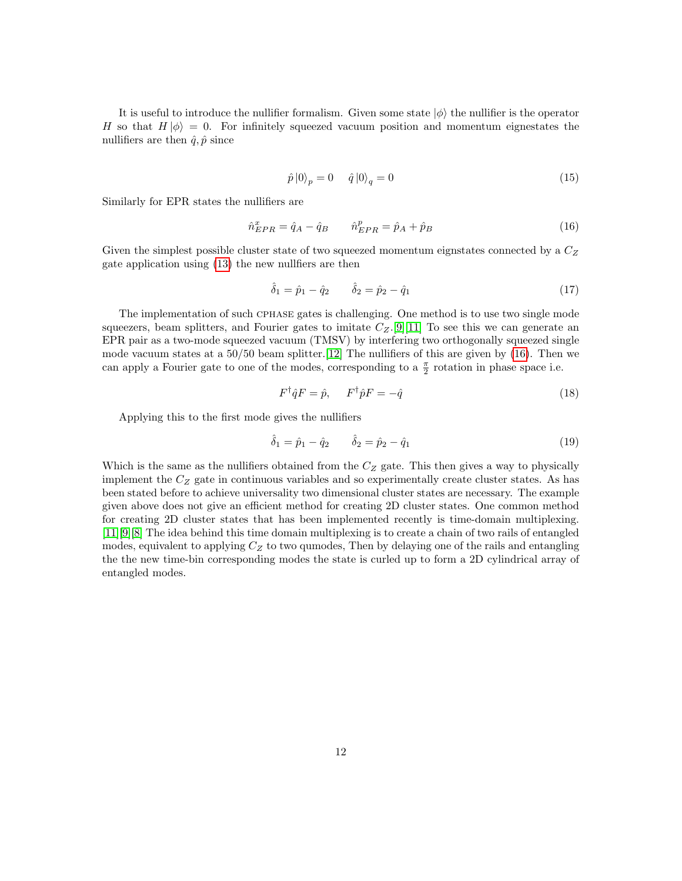It is useful to introduce the nullifier formalism. Given some state  $|\phi\rangle$  the nullifier is the operator H so that  $H |\phi\rangle = 0$ . For infinitely squeezed vacuum position and momentum eignestates the nullifiers are then  $\hat{q}, \hat{p}$  since

<span id="page-11-0"></span>
$$
\hat{p}|0\rangle_p = 0 \quad \hat{q}|0\rangle_q = 0 \tag{15}
$$

Similarly for EPR states the nullifiers are

$$
\hat{n}_{EPR}^x = \hat{q}_A - \hat{q}_B \qquad \hat{n}_{EPR}^p = \hat{p}_A + \hat{p}_B \tag{16}
$$

Given the simplest possible cluster state of two squeezed momentum eignstates connected by a  $C_Z$ gate application using [\(13\)](#page-10-0) the new nullfiers are then

$$
\hat{\delta}_1 = \hat{p}_1 - \hat{q}_2 \qquad \hat{\delta}_2 = \hat{p}_2 - \hat{q}_1 \tag{17}
$$

The implementation of such cphase gates is challenging. One method is to use two single mode squeezers, beam splitters, and Fourier gates to imitate  $C_Z$ .[\[9\]](#page-14-8)[\[11\]](#page-14-10) To see this we can generate an EPR pair as a two-mode squeezed vacuum (TMSV) by interfering two orthogonally squeezed single mode vacuum states at a 50/50 beam splitter.[\[12\]](#page-14-11) The nullifiers of this are given by [\(16\)](#page-11-0). Then we can apply a Fourier gate to one of the modes, corresponding to a  $\frac{\pi}{2}$  rotation in phase space i.e.

$$
F^{\dagger} \hat{q} F = \hat{p}, \qquad F^{\dagger} \hat{p} F = -\hat{q} \tag{18}
$$

Applying this to the first mode gives the nullifiers

$$
\hat{\delta}_1 = \hat{p}_1 - \hat{q}_2 \qquad \hat{\delta}_2 = \hat{p}_2 - \hat{q}_1 \tag{19}
$$

Which is the same as the nullifiers obtained from the  $C_Z$  gate. This then gives a way to physically implement the  $C_Z$  gate in continuous variables and so experimentally create cluster states. As has been stated before to achieve universality two dimensional cluster states are necessary. The example given above does not give an efficient method for creating 2D cluster states. One common method for creating 2D cluster states that has been implemented recently is time-domain multiplexing. [\[11\]](#page-14-10)[\[9\]](#page-14-8)[\[8\]](#page-14-7) The idea behind this time domain multiplexing is to create a chain of two rails of entangled modes, equivalent to applying  $C<sub>Z</sub>$  to two qumodes, Then by delaying one of the rails and entangling the the new time-bin corresponding modes the state is curled up to form a 2D cylindrical array of entangled modes.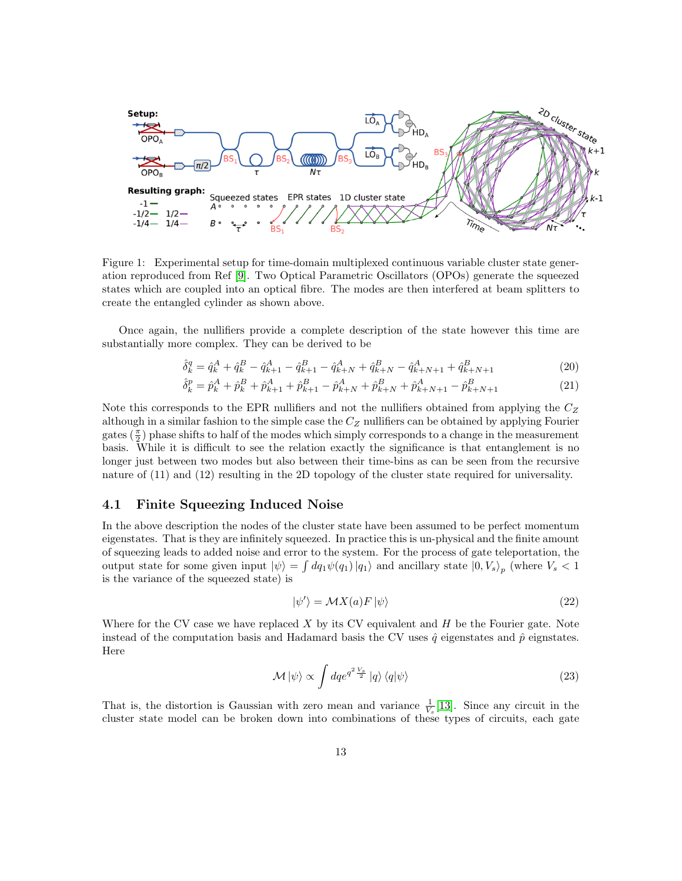

Figure 1: Experimental setup for time-domain multiplexed continuous variable cluster state generation reproduced from Ref [\[9\]](#page-14-8). Two Optical Parametric Oscillators (OPOs) generate the squeezed states which are coupled into an optical fibre. The modes are then interfered at beam splitters to create the entangled cylinder as shown above.

Once again, the nullifiers provide a complete description of the state however this time are substantially more complex. They can be derived to be

$$
\hat{\delta}_k^q = \hat{q}_k^A + \hat{q}_k^B - \hat{q}_{k+1}^A - \hat{q}_{k+1}^B - \hat{q}_{k+N}^A + \hat{q}_{k+N}^B - \hat{q}_{k+N+1}^A + \hat{q}_{k+N+1}^B
$$
\n(20)

$$
\hat{\delta}_k^p = \hat{p}_k^A + \hat{p}_k^B + \hat{p}_{k+1}^A + \hat{p}_{k+1}^B - \hat{p}_{k+N}^A + \hat{p}_{k+N}^B + \hat{p}_{k+N+1}^A - \hat{p}_{k+N+1}^B
$$
\n(21)

Note this corresponds to the EPR nullifiers and not the nullifiers obtained from applying the  $C_Z$ although in a similar fashion to the simple case the  $C_Z$  nullifiers can be obtained by applying Fourier gates  $(\frac{\pi}{2})$  phase shifts to half of the modes which simply corresponds to a change in the measurement basis. While it is difficult to see the relation exactly the significance is that entanglement is no longer just between two modes but also between their time-bins as can be seen from the recursive nature of  $(11)$  and  $(12)$  resulting in the 2D topology of the cluster state required for universality.

#### 4.1 Finite Squeezing Induced Noise

In the above description the nodes of the cluster state have been assumed to be perfect momentum eigenstates. That is they are infinitely squeezed. In practice this is un-physical and the finite amount of squeezing leads to added noise and error to the system. For the process of gate teleportation, the output state for some given input  $|\psi\rangle = \int dq_1 \psi(q_1) |q_1\rangle$  and ancillary state  $|0, V_s\rangle_p$  (where  $V_s < 1$ ) is the variance of the squeezed state) is

$$
|\psi'\rangle = \mathcal{M}X(a)F|\psi\rangle\tag{22}
$$

Where for the CV case we have replaced  $X$  by its CV equivalent and  $H$  be the Fourier gate. Note instead of the computation basis and Hadamard basis the CV uses  $\hat{q}$  eigenstates and  $\hat{p}$  eignstates. Here

$$
\mathcal{M}|\psi\rangle \propto \int dq e^{q^2 \frac{V_s}{2}}|q\rangle \langle q|\psi\rangle \tag{23}
$$

That is, the distortion is Gaussian with zero mean and variance  $\frac{1}{V_s}[13]$  $\frac{1}{V_s}[13]$ . Since any circuit in the cluster state model can be broken down into combinations of these types of circuits, each gate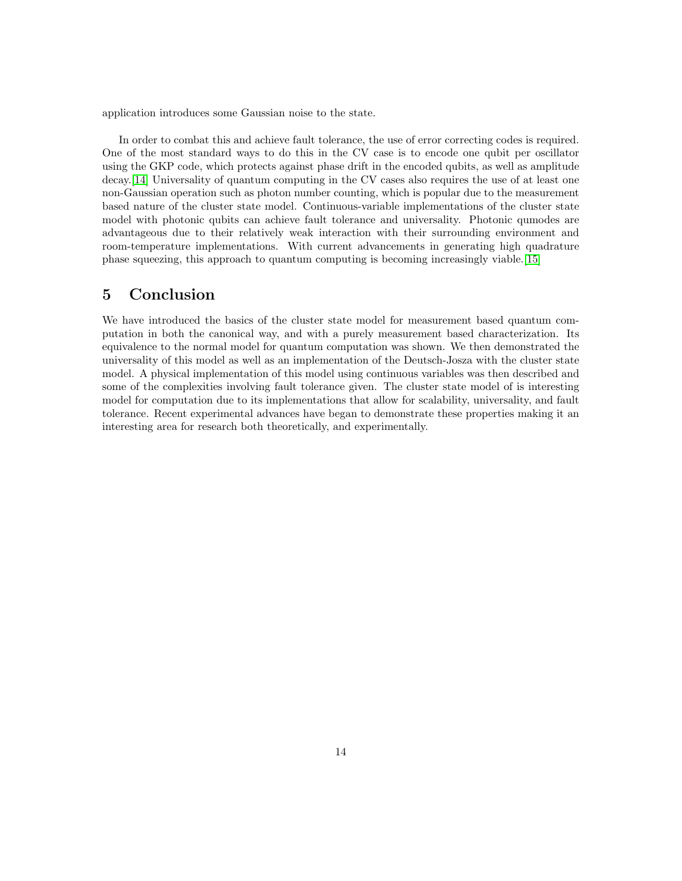application introduces some Gaussian noise to the state.

In order to combat this and achieve fault tolerance, the use of error correcting codes is required. One of the most standard ways to do this in the CV case is to encode one qubit per oscillator using the GKP code, which protects against phase drift in the encoded qubits, as well as amplitude decay.[\[14\]](#page-14-13) Universality of quantum computing in the CV cases also requires the use of at least one non-Gaussian operation such as photon number counting, which is popular due to the measurement based nature of the cluster state model. Continuous-variable implementations of the cluster state model with photonic qubits can achieve fault tolerance and universality. Photonic qumodes are advantageous due to their relatively weak interaction with their surrounding environment and room-temperature implementations. With current advancements in generating high quadrature phase squeezing, this approach to quantum computing is becoming increasingly viable.[\[15\]](#page-15-0)

## 5 Conclusion

We have introduced the basics of the cluster state model for measurement based quantum computation in both the canonical way, and with a purely measurement based characterization. Its equivalence to the normal model for quantum computation was shown. We then demonstrated the universality of this model as well as an implementation of the Deutsch-Josza with the cluster state model. A physical implementation of this model using continuous variables was then described and some of the complexities involving fault tolerance given. The cluster state model of is interesting model for computation due to its implementations that allow for scalability, universality, and fault tolerance. Recent experimental advances have began to demonstrate these properties making it an interesting area for research both theoretically, and experimentally.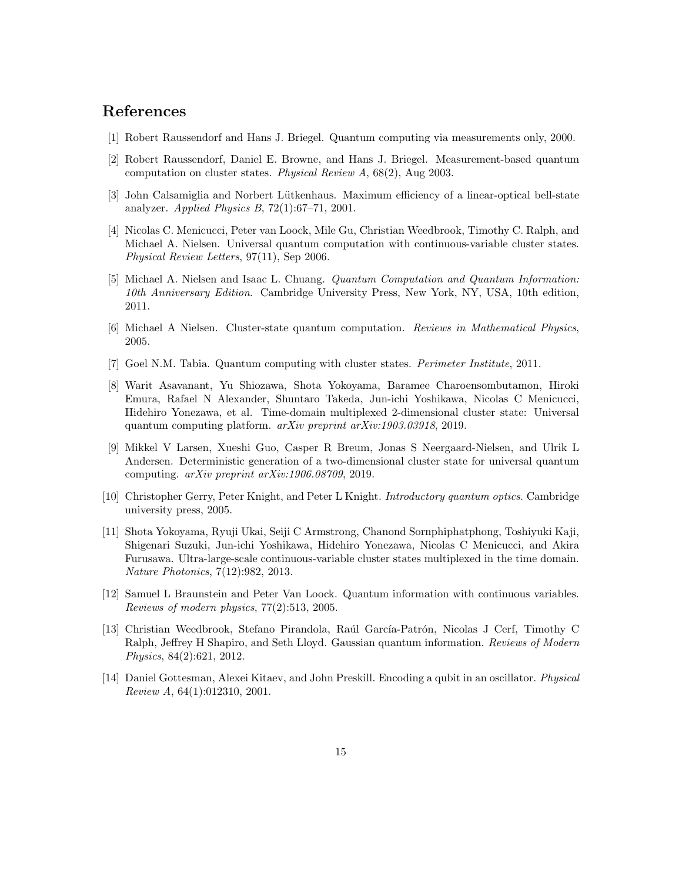## References

- <span id="page-14-0"></span>[1] Robert Raussendorf and Hans J. Briegel. Quantum computing via measurements only, 2000.
- <span id="page-14-1"></span>[2] Robert Raussendorf, Daniel E. Browne, and Hans J. Briegel. Measurement-based quantum computation on cluster states. Physical Review A, 68(2), Aug 2003.
- <span id="page-14-2"></span>[3] John Calsamiglia and Norbert Lütkenhaus. Maximum efficiency of a linear-optical bell-state analyzer. Applied Physics B, 72(1):67–71, 2001.
- <span id="page-14-3"></span>[4] Nicolas C. Menicucci, Peter van Loock, Mile Gu, Christian Weedbrook, Timothy C. Ralph, and Michael A. Nielsen. Universal quantum computation with continuous-variable cluster states. Physical Review Letters, 97(11), Sep 2006.
- <span id="page-14-4"></span>[5] Michael A. Nielsen and Isaac L. Chuang. Quantum Computation and Quantum Information: 10th Anniversary Edition. Cambridge University Press, New York, NY, USA, 10th edition, 2011.
- <span id="page-14-5"></span>[6] Michael A Nielsen. Cluster-state quantum computation. Reviews in Mathematical Physics, 2005.
- <span id="page-14-6"></span>[7] Goel N.M. Tabia. Quantum computing with cluster states. Perimeter Institute, 2011.
- <span id="page-14-7"></span>[8] Warit Asavanant, Yu Shiozawa, Shota Yokoyama, Baramee Charoensombutamon, Hiroki Emura, Rafael N Alexander, Shuntaro Takeda, Jun-ichi Yoshikawa, Nicolas C Menicucci, Hidehiro Yonezawa, et al. Time-domain multiplexed 2-dimensional cluster state: Universal quantum computing platform. arXiv preprint arXiv:1903.03918, 2019.
- <span id="page-14-8"></span>[9] Mikkel V Larsen, Xueshi Guo, Casper R Breum, Jonas S Neergaard-Nielsen, and Ulrik L Andersen. Deterministic generation of a two-dimensional cluster state for universal quantum computing. arXiv preprint arXiv:1906.08709, 2019.
- <span id="page-14-9"></span>[10] Christopher Gerry, Peter Knight, and Peter L Knight. Introductory quantum optics. Cambridge university press, 2005.
- <span id="page-14-10"></span>[11] Shota Yokoyama, Ryuji Ukai, Seiji C Armstrong, Chanond Sornphiphatphong, Toshiyuki Kaji, Shigenari Suzuki, Jun-ichi Yoshikawa, Hidehiro Yonezawa, Nicolas C Menicucci, and Akira Furusawa. Ultra-large-scale continuous-variable cluster states multiplexed in the time domain. Nature Photonics, 7(12):982, 2013.
- <span id="page-14-11"></span>[12] Samuel L Braunstein and Peter Van Loock. Quantum information with continuous variables. Reviews of modern physics, 77(2):513, 2005.
- <span id="page-14-12"></span>[13] Christian Weedbrook, Stefano Pirandola, Raúl García-Patrón, Nicolas J Cerf, Timothy C Ralph, Jeffrey H Shapiro, and Seth Lloyd. Gaussian quantum information. Reviews of Modern Physics, 84(2):621, 2012.
- <span id="page-14-13"></span>[14] Daniel Gottesman, Alexei Kitaev, and John Preskill. Encoding a qubit in an oscillator. Physical Review A, 64(1):012310, 2001.